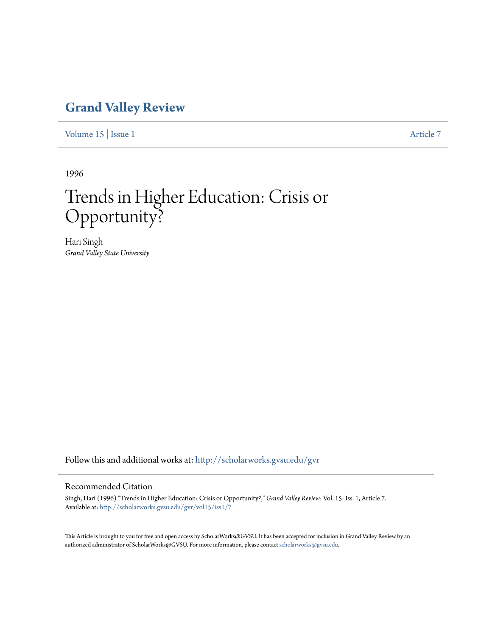## **[Grand Valley Review](http://scholarworks.gvsu.edu/gvr?utm_source=scholarworks.gvsu.edu%2Fgvr%2Fvol15%2Fiss1%2F7&utm_medium=PDF&utm_campaign=PDFCoverPages)**

[Volume 15](http://scholarworks.gvsu.edu/gvr/vol15?utm_source=scholarworks.gvsu.edu%2Fgvr%2Fvol15%2Fiss1%2F7&utm_medium=PDF&utm_campaign=PDFCoverPages) | [Issue 1](http://scholarworks.gvsu.edu/gvr/vol15/iss1?utm_source=scholarworks.gvsu.edu%2Fgvr%2Fvol15%2Fiss1%2F7&utm_medium=PDF&utm_campaign=PDFCoverPages) [Article 7](http://scholarworks.gvsu.edu/gvr/vol15/iss1/7?utm_source=scholarworks.gvsu.edu%2Fgvr%2Fvol15%2Fiss1%2F7&utm_medium=PDF&utm_campaign=PDFCoverPages)

1996

# Trends in Higher Education: Crisis or Opportunity?

Hari Singh *Grand Valley State University*

Follow this and additional works at: [http://scholarworks.gvsu.edu/gvr](http://scholarworks.gvsu.edu/gvr?utm_source=scholarworks.gvsu.edu%2Fgvr%2Fvol15%2Fiss1%2F7&utm_medium=PDF&utm_campaign=PDFCoverPages)

#### Recommended Citation

Singh, Hari (1996) "Trends in Higher Education: Crisis or Opportunity?," *Grand Valley Review*: Vol. 15: Iss. 1, Article 7. Available at: [http://scholarworks.gvsu.edu/gvr/vol15/iss1/7](http://scholarworks.gvsu.edu/gvr/vol15/iss1/7?utm_source=scholarworks.gvsu.edu%2Fgvr%2Fvol15%2Fiss1%2F7&utm_medium=PDF&utm_campaign=PDFCoverPages)

This Article is brought to you for free and open access by ScholarWorks@GVSU. It has been accepted for inclusion in Grand Valley Review by an authorized administrator of ScholarWorks@GVSU. For more information, please contact [scholarworks@gvsu.edu.](mailto:scholarworks@gvsu.edu)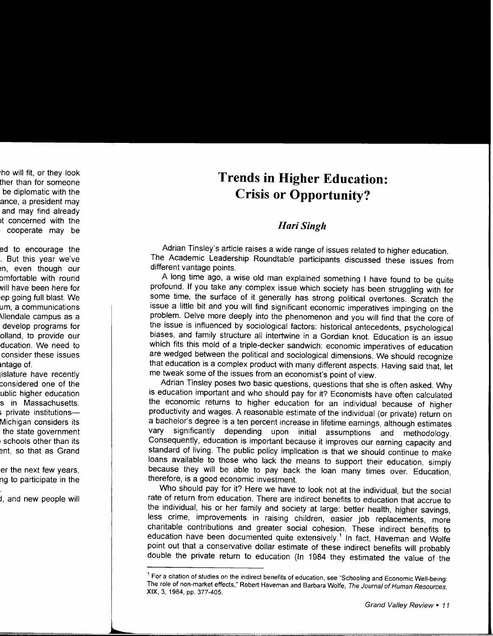## **Trends in Higher Education: Crisis or Opportunity?**

### *HariSingh*

Adrian Tinsley's article raises a wide range of issues related to higher education. The Academic Leadership Roundtable participants discussed these issues from different vantage points.

A long time ago, a wise old man explained something I have found to be quite profound. If you take any complex issue which society has been struggling with for some time, the surface of it generally has strong political overtones. Scratch the issue a little bit and you will find significant economic imperatives impinging on the problem. Delve more deeply into the phenomenon and you will find that the core of the issue is influenced by sociological factors: historical antecedents, psychological biases, and family structure all intertwine in a Gordian knot. Education is an issue which fits this mold of a triple-decker sandwich: economic imperatives of education are wedged between the political and sociological dimensions. We should recognize that education is a complex product with many different aspects. Having said that, let me tweak some of the issues from an economist's point of view.

Adrian Tinsley poses two basic questions, questions that she is often asked. Why is education important and who should pay for it? Economists have often calculated the economic returns to higher education for an individual because of higher productivity and wages. A reasonable estimate of the individual (or private) return on a bachelor's degree is a ten percent increase in lifetime earnings, although estimates vary significantly depending upon initial assumptions and methodology. Consequently, education is important because it improves our earning capacity and standard of living. The public policy implication is that we should continue to make loans available to those who lack the means to support their education, simply because they will be able to pay back the loan many times over. Education, therefore, is a good economic investment.

Who should pay for it? Here we have to look not at the individual, but the social rate of return from education. There are indirect benefits to education that accrue to the individual, his or her family and society at large: better health, higher savings, less crime, improvements in raising children, easier job replacements, more charitable contributions and greater social cohesion. These indirect benefits to education have been documented quite extensively.<sup>1</sup> In fact, Haveman and Wolfe point out that a conservative dollar estimate of these indirect benefits will probably double the private return to education (In 1984 they estimated the value of the

<sup>&</sup>lt;sup>1</sup> For a citation of studies on the indirect benefits of education, see "Schooling and Economic Well-being: The role of non-market effects," Robert Haveman and Barbara Wolfe, The Journal of Human Resources, XIX, 3, 1984, pp. 377-405.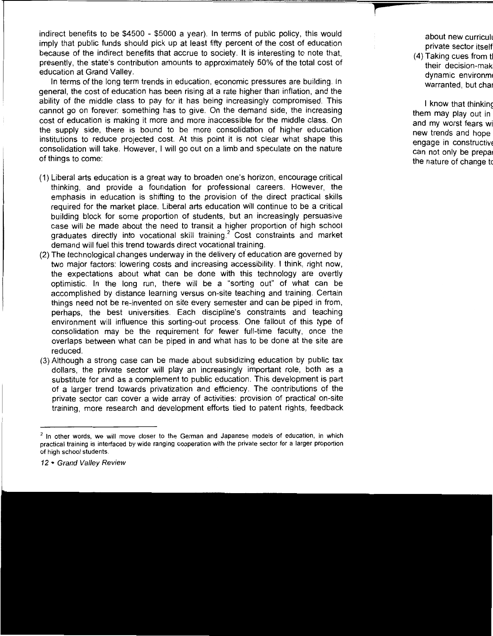indirect benefits to be \$4500 - \$5000 a year). In terms of public policy, this would imply that public funds should pick up at least fifty percent of the cost of education because of the indirect benefits that accrue to society. It is interesting to note that, presently, the state's contribution amounts to approximately 50% of the total cost of education at Grand Valley.

In terms of the long term trends in education, economic pressures are building. In general, the cost of education has been rising at a rate higher than inflation, and the ability of the middle class to pay for it has being increasingly compromised. This cannot go on forever: something has to give. On the demand side, the increasing cost of education is making it more and more inaccessible for the middle class. On the supply side, there is bound to be more consolidation of higher education institutions to reduce projected cost. At this point it is not clear what shape this consolidation will take. However, I will go out on a limb and speculate on the nature of things to come:

- (1) Liberal arts education is a great way to broaden one's horizon, encourage critical thinking, and provide a foundation for professional careers. However, the emphasis in education is shifting to the provision of the direct practical skills required for the market place. Liberal arts education will continue to be a critical building block for some proportion of students, but an increasingly persuasive case will be made about the need to transit a higher proportion of high school graduates directly into vocational skill training.<sup>2</sup> Cost constraints and market demand will fuel this trend towards direct vocational training.
- (2) The technological changes underway in the delivery of education are governed by two major factors: lowering costs and increasing accessibility. I think, right now, the expectations about what can be done with this technology are overtly optimistic. In the long run, there will be a "sorting out" of what can be accomplished by distance learning versus on-site teaching and training. Certain things need not be re-invented on site every semester and can be piped in from, perhaps, the best universities. Each discipline's constraints and teaching environment will influence this sorting-out process. One fallout of this type of consolidation may be the requirement for fewer full-time faculty, once the overlaps between what can be piped in and what has to be done at the site are reduced.
- (3) Although a strong case can be made about subsidizing education by public tax dollars, the private sector will play an increasingly important role, both as a substitute for and as a complement to public education. This development is part of a larger trend towards privatization and efficiency. The contributions of the private sector can cover a wide array of activities: provision of practical on-site training, more research and development efforts tied to patent rights, feedback

 $<sup>2</sup>$  In other words, we will move closer to the German and Japanese models of education, in which</sup> practical training is interfaced by wide ranging cooperation with the private sector for a larger proportion of high school students.